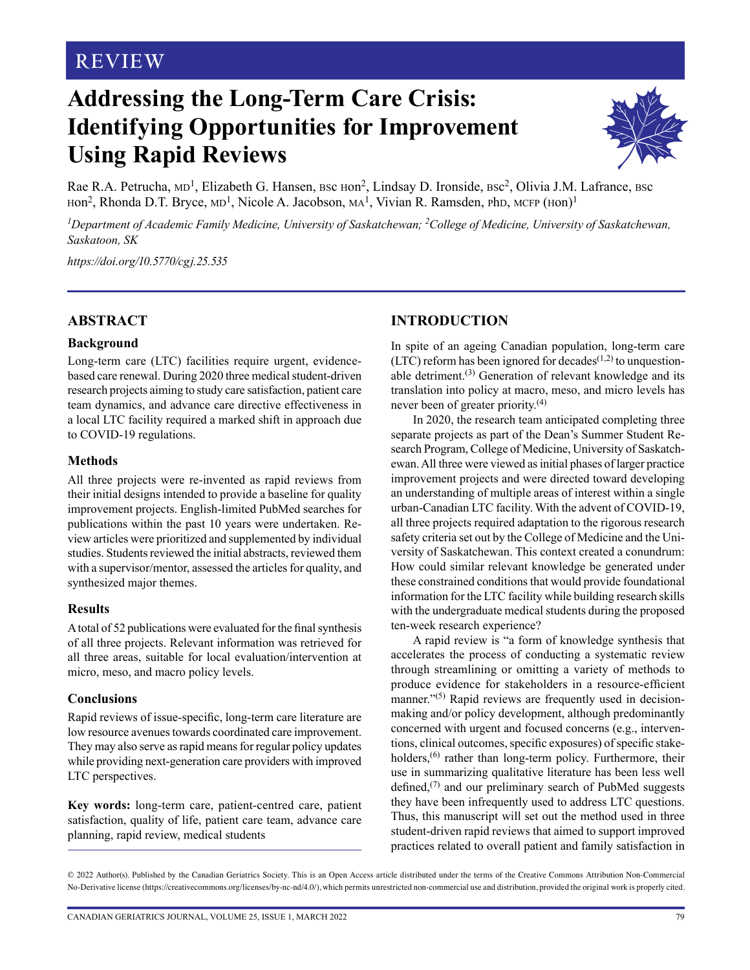# **REVIEW**

# **Addressing the Long-Term Care Crisis: Identifying Opportunities for Improvement Using Rapid Reviews**



Rae R.A. Petrucha, MD<sup>1</sup>, Elizabeth G. Hansen, BSc Hon<sup>2</sup>, Lindsay D. Ironside, BSc<sup>2</sup>, Olivia J.M. Lafrance, BSc Hon<sup>2</sup>, Rhonda D.T. Bryce, MD<sup>1</sup>, Nicole A. Jacobson, MA<sup>1</sup>, Vivian R. Ramsden, PhD, MCFP (Hon)<sup>1</sup>

<sup>1</sup>Department of Academic Family Medicine, University of Saskatchewan; <sup>2</sup>College of Medicine, University of Saskatchewan, *Saskatoon, SK*

*<https://doi.org/10.5770/cgj.25.535>*

#### **ABSTRACT**

#### **Background**

Long-term care (LTC) facilities require urgent, evidencebased care renewal. During 2020 three medical student-driven research projects aiming to study care satisfaction, patient care team dynamics, and advance care directive effectiveness in a local LTC facility required a marked shift in approach due to COVID-19 regulations.

#### **Methods**

All three projects were re-invented as rapid reviews from their initial designs intended to provide a baseline for quality improvement projects. English-limited PubMed searches for publications within the past 10 years were undertaken. Review articles were prioritized and supplemented by individual studies. Students reviewed the initial abstracts, reviewed them with a supervisor/mentor, assessed the articles for quality, and synthesized major themes.

#### **Results**

A total of 52 publications were evaluated for the final synthesis of all three projects. Relevant information was retrieved for all three areas, suitable for local evaluation/intervention at micro, meso, and macro policy levels.

#### **Conclusions**

Rapid reviews of issue-specific, long-term care literature are low resource avenues towards coordinated care improvement. They may also serve as rapid means for regular policy updates while providing next-generation care providers with improved LTC perspectives.

**Key words:** long-term care, patient-centred care, patient satisfaction, quality of life, patient care team, advance care planning, rapid review, medical students

# **INTRODUCTION**

In spite of an ageing Canadian population, long-term care (LTC) reform has been ignored for decades<sup> $(1,2)$ </sup> to unquestionable detriment.<sup> $(3)$ </sup> Generation of relevant knowledge and its translation into policy at macro, meso, and micro levels has never been of greater priority.(4)

In 2020, the research team anticipated completing three separate projects as part of the Dean's Summer Student Research Program, College of Medicine, University of Saskatchewan. All three were viewed as initial phases of larger practice improvement projects and were directed toward developing an understanding of multiple areas of interest within a single urban-Canadian LTC facility. With the advent of COVID-19, all three projects required adaptation to the rigorous research safety criteria set out by the College of Medicine and the University of Saskatchewan. This context created a conundrum: How could similar relevant knowledge be generated under these constrained conditions that would provide foundational information for the LTC facility while building research skills with the undergraduate medical students during the proposed ten-week research experience?

A rapid review is "a form of knowledge synthesis that accelerates the process of conducting a systematic review through streamlining or omitting a variety of methods to produce evidence for stakeholders in a resource-efficient manner."<sup>(5)</sup> Rapid reviews are frequently used in decisionmaking and/or policy development, although predominantly concerned with urgent and focused concerns (e.g., interventions, clinical outcomes, specific exposures) of specific stakeholders,<sup>(6)</sup> rather than long-term policy. Furthermore, their use in summarizing qualitative literature has been less well defined, $(7)$  and our preliminary search of PubMed suggests they have been infrequently used to address LTC questions. Thus, this manuscript will set out the method used in three student-driven rapid reviews that aimed to support improved practices related to overall patient and family satisfaction in

© 2022 Author(s). Published by the Canadian Geriatrics Society. This is an Open Access article distributed under the terms of the Creative Commons Attribution Non-Commercial No-Derivative license (https://creativecommons.org/licenses/by-nc-nd/4.0/), which permits unrestricted non-commercial use and distribution, provided the original work is properly cited.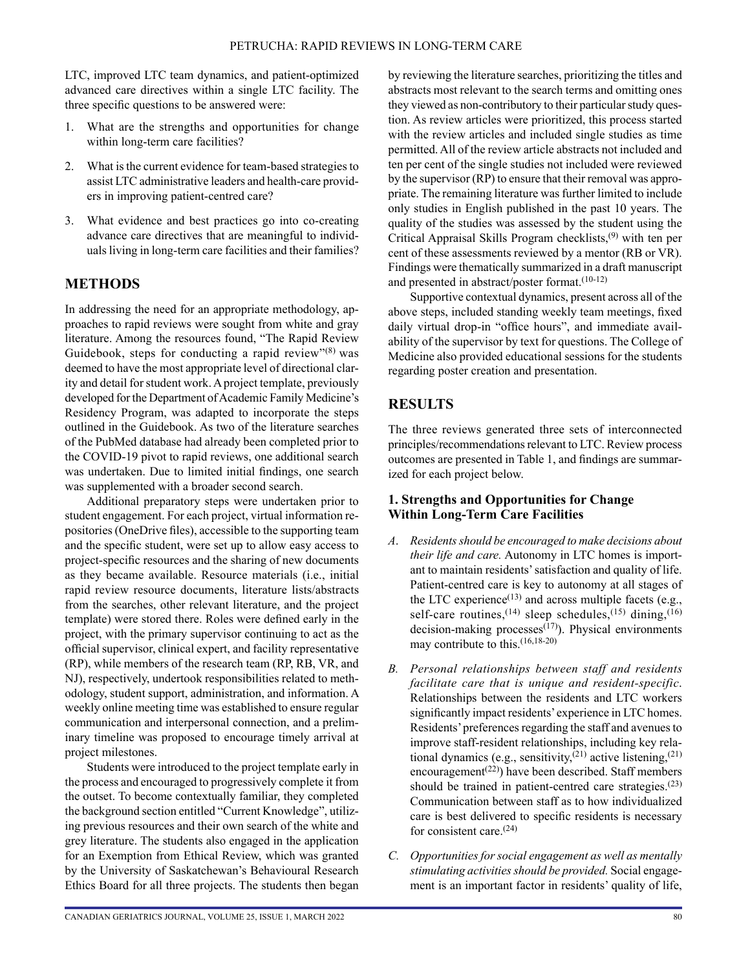LTC, improved LTC team dynamics, and patient-optimized advanced care directives within a single LTC facility. The three specific questions to be answered were:

- 1. What are the strengths and opportunities for change within long-term care facilities?
- 2. What is the current evidence for team-based strategies to assist LTC administrative leaders and health-care providers in improving patient-centred care?
- 3. What evidence and best practices go into co-creating advance care directives that are meaningful to individuals living in long-term care facilities and their families?

# **METHODS**

In addressing the need for an appropriate methodology, approaches to rapid reviews were sought from white and gray literature. Among the resources found, "The Rapid Review Guidebook, steps for conducting a rapid review" $(8)$  was deemed to have the most appropriate level of directional clarity and detail for student work. A project template, previously developed for the Department of Academic Family Medicine's Residency Program, was adapted to incorporate the steps outlined in the Guidebook. As two of the literature searches of the PubMed database had already been completed prior to the COVID-19 pivot to rapid reviews, one additional search was undertaken. Due to limited initial findings, one search was supplemented with a broader second search.

Additional preparatory steps were undertaken prior to student engagement. For each project, virtual information repositories (OneDrive files), accessible to the supporting team and the specific student, were set up to allow easy access to project-specific resources and the sharing of new documents as they became available. Resource materials (i.e., initial rapid review resource documents, literature lists/abstracts from the searches, other relevant literature, and the project template) were stored there. Roles were defined early in the project, with the primary supervisor continuing to act as the official supervisor, clinical expert, and facility representative (RP), while members of the research team (RP, RB, VR, and NJ), respectively, undertook responsibilities related to methodology, student support, administration, and information. A weekly online meeting time was established to ensure regular communication and interpersonal connection, and a preliminary timeline was proposed to encourage timely arrival at project milestones.

Students were introduced to the project template early in the process and encouraged to progressively complete it from the outset. To become contextually familiar, they completed the background section entitled "Current Knowledge", utilizing previous resources and their own search of the white and grey literature. The students also engaged in the application for an Exemption from Ethical Review, which was granted by the University of Saskatchewan's Behavioural Research Ethics Board for all three projects. The students then began by reviewing the literature searches, prioritizing the titles and abstracts most relevant to the search terms and omitting ones they viewed as non-contributory to their particular study question. As review articles were prioritized, this process started with the review articles and included single studies as time permitted. All of the review article abstracts not included and ten per cent of the single studies not included were reviewed by the supervisor (RP) to ensure that their removal was appropriate. The remaining literature was further limited to include only studies in English published in the past 10 years. The quality of the studies was assessed by the student using the Critical Appraisal Skills Program checklists,(9) with ten per cent of these assessments reviewed by a mentor (RB or VR). Findings were thematically summarized in a draft manuscript and presented in abstract/poster format.(10-12)

Supportive contextual dynamics, present across all of the above steps, included standing weekly team meetings, fixed daily virtual drop-in "office hours", and immediate availability of the supervisor by text for questions. The College of Medicine also provided educational sessions for the students regarding poster creation and presentation.

# **RESULTS**

The three reviews generated three sets of interconnected principles/recommendations relevant to LTC. Review process outcomes are presented in Table 1, and findings are summarized for each project below.

#### **1. Strengths and Opportunities for Change Within Long-Term Care Facilities**

- *A*. *Residents should be encouraged to make decisions about their life and care.* Autonomy in LTC homes is important to maintain residents' satisfaction and quality of life. Patient-centred care is key to autonomy at all stages of the LTC experience $(13)$  and across multiple facets (e.g., self-care routines,  $(14)$  sleep schedules,  $(15)$  dining,  $(16)$ decision-making processes<sup> $(17)$ </sup>). Physical environments may contribute to this.(16,18-20)
- *B. Personal relationships between staff and residents facilitate care that is unique and resident-specific*. Relationships between the residents and LTC workers significantly impact residents' experience in LTC homes. Residents' preferences regarding the staff and avenues to improve staff-resident relationships, including key relational dynamics (e.g., sensitivity,<sup> $(21)$ </sup> active listening, $(21)$ encouragement<sup> $(22)$ </sup>) have been described. Staff members should be trained in patient-centred care strategies.<sup>(23)</sup> Communication between staff as to how individualized care is best delivered to specific residents is necessary for consistent care. $(24)$
- *C. Opportunities for social engagement as well as mentally stimulating activities should be provided.* Social engagement is an important factor in residents' quality of life,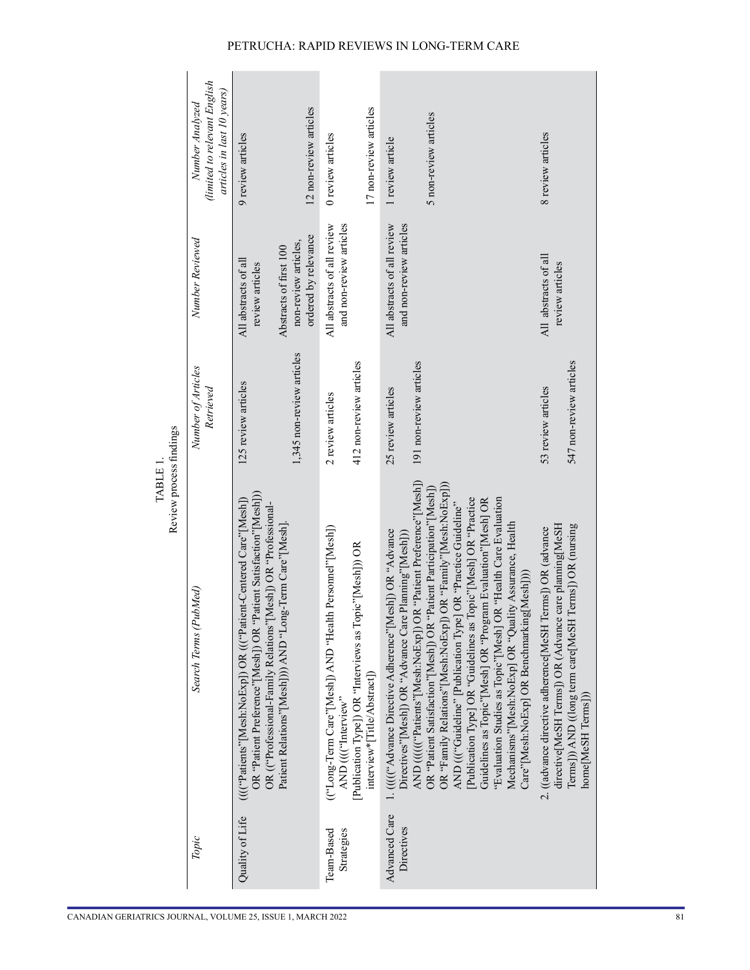|                             | Review process findings<br><b>TABLE</b>                                                                                                                                                                                                                                                                                                     |                                               |                                                                        |                                                                               |
|-----------------------------|---------------------------------------------------------------------------------------------------------------------------------------------------------------------------------------------------------------------------------------------------------------------------------------------------------------------------------------------|-----------------------------------------------|------------------------------------------------------------------------|-------------------------------------------------------------------------------|
| Topic                       | Search Terms (PubMed)                                                                                                                                                                                                                                                                                                                       | Number of Articles<br>Retrieved               | Number Reviewed                                                        | (limited to relevant English<br>articles in last 10 years)<br>Number Analyzed |
| Quality of Life             | OR "Patient Preference"[Mesh]) OR "Patient Satisfaction"[Mesh]))<br>(((("Patients"[Mesh:NoExp]) OR ((("Patient-Centered Care"[Mesh])<br>OR (("Professional-Family Relations"[Mesh]) OR "Professional-                                                                                                                                       | 125 review articles                           | All abstracts of all<br>review articles                                | 9 review articles                                                             |
|                             | Patient Relations"[Mesh]))) AND "Long-Term Care"[Mesh]                                                                                                                                                                                                                                                                                      | 1,345 non-review articles                     | ordered by relevance<br>non-review articles,<br>Abstracts of first 100 | 12 non-review articles                                                        |
| Team-Based<br>Strategies    | (("Long-Term Care"[Mesh]) AND "Health Personnel"[Mesh])<br>[Publication Type]) OR "Interviews as Topic"[Mesh])) OR<br>AND ((("Interview"                                                                                                                                                                                                    | 412 non-review articles<br>2 review articles  | All abstracts of all review<br>and non-review articles                 | 0 review articles                                                             |
|                             | interview*[Title/Abstract])                                                                                                                                                                                                                                                                                                                 |                                               |                                                                        | 17 non-review articles                                                        |
| Advanced Care<br>Directives | AND ((((("Patients"[Mesh:NoExp]) OR "Patient Preference"[Mesh])<br>1. (((("Advance Directive Adherence"[Mesh]) OR "Advance<br>Directives"[Mesh]) OR "Advance Care Plaming"[Mesh]))                                                                                                                                                          | 191 non-review articles<br>25 review articles | and non-review articles<br>All abstracts of all review                 | 1 review article                                                              |
|                             | OR "Family"[Mesh:NoExp]))<br>OR "Patient Satisfaction"[Mesh]) OR "Patient Participation"[Mesh])<br>opic"[Mesh] OR "Practice<br>Guidelines as Topic"[Mesh] OR "Program Evaluation"[Mesh] OR<br>AND ((("Guideline" [Publication Type] OR "Practice Guideline"<br>OR "Family Relations"[Mesh:NoExp])<br>[Publication Type] OR "Guidelines as T |                                               |                                                                        | 5 non-review articles                                                         |
|                             | "Evaluation Studies as Topic"[Mesh] OR "Health Care Evaluation<br>Mechanisms"[Mesh:NoExp] OR "Quality Assurance, Health<br>Care"[Mesh:NoExp] OR Benchmarking[Mesh])))                                                                                                                                                                       |                                               |                                                                        |                                                                               |
|                             | directive[MeSH Terms]) OR (Advance care planning[MeSH<br>2. ((advance directive adherence[MeSH Terms]) OR (advance                                                                                                                                                                                                                          | 53 review articles                            | All abstracts of all<br>review articles                                | 8 review articles                                                             |
|                             | Terms]) OR (nursing<br>Terms])) AND ((long term care[MeSH<br>home[MeSH Terms]))                                                                                                                                                                                                                                                             | 547 non-review articles                       |                                                                        |                                                                               |

#### PETRUCHA: RAPID REVIEWS IN LONG-TERM CARE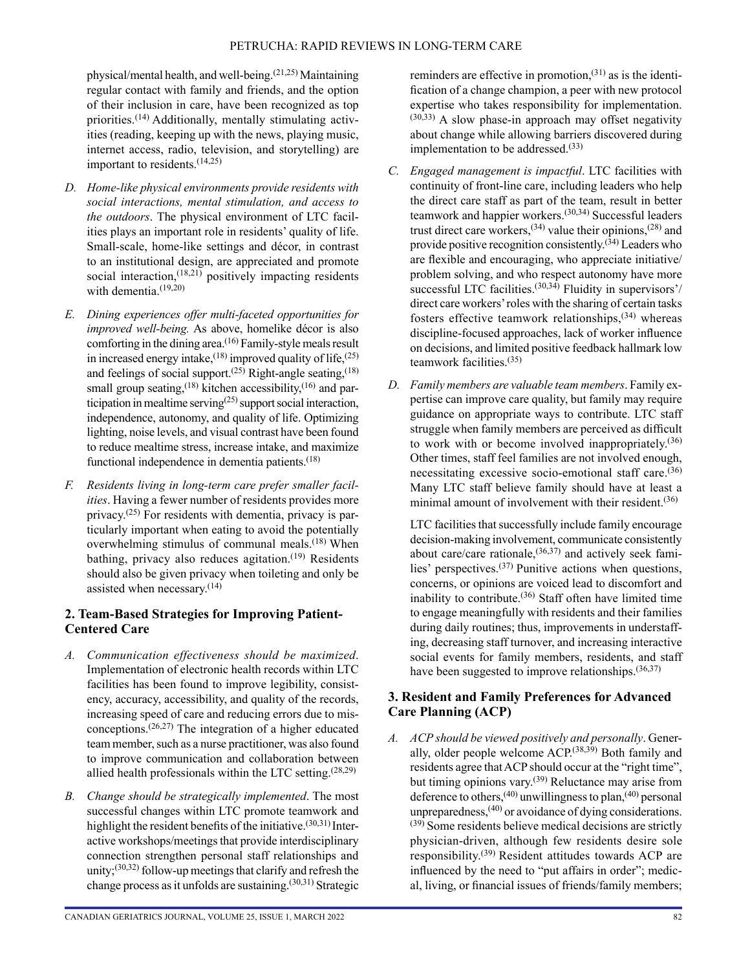physical/mental health, and well-being.(21,25) Maintaining regular contact with family and friends, and the option of their inclusion in care, have been recognized as top priorities.(14) Additionally, mentally stimulating activities (reading, keeping up with the news, playing music, internet access, radio, television, and storytelling) are important to residents.(14,25)

- *D. Home-like physical environments provide residents with social interactions, mental stimulation, and access to the outdoors*. The physical environment of LTC facilities plays an important role in residents' quality of life. Small-scale, home-like settings and décor, in contrast to an institutional design, are appreciated and promote social interaction, $(18,21)$  positively impacting residents with dementia.<sup>(19,20)</sup>
- *E. Dining experiences offer multi-faceted opportunities for improved well-being.* As above, homelike décor is also comforting in the dining area.<sup>(16)</sup> Family-style meals result in increased energy intake,<sup> $(18)$ </sup> improved quality of life, $(25)$ and feelings of social support.<sup> $(25)$ </sup> Right-angle seating,<sup> $(18)$ </sup> small group seating,<sup>(18)</sup> kitchen accessibility,<sup>(16)</sup> and participation in mealtime serving $(25)$  support social interaction, independence, autonomy, and quality of life. Optimizing lighting, noise levels, and visual contrast have been found to reduce mealtime stress, increase intake, and maximize functional independence in dementia patients. $(18)$
- *F. Residents living in long-term care prefer smaller facilities*. Having a fewer number of residents provides more privacy.(25) For residents with dementia, privacy is particularly important when eating to avoid the potentially overwhelming stimulus of communal meals.<sup>(18)</sup> When bathing, privacy also reduces agitation. $(19)$  Residents should also be given privacy when toileting and only be assisted when necessary.(14)

# **2. Team-Based Strategies for Improving Patient-Centered Care**

- *A. Communication effectiveness should be maximized*. Implementation of electronic health records within LTC facilities has been found to improve legibility, consistency, accuracy, accessibility, and quality of the records, increasing speed of care and reducing errors due to misconceptions.(26,27) The integration of a higher educated team member, such as a nurse practitioner, was also found to improve communication and collaboration between allied health professionals within the LTC setting. $(28,29)$
- *B. Change should be strategically implemented*. The most successful changes within LTC promote teamwork and highlight the resident benefits of the initiative.<sup>(30,31)</sup> Interactive workshops/meetings that provide interdisciplinary connection strengthen personal staff relationships and unity; $(30,32)$  follow-up meetings that clarify and refresh the change process as it unfolds are sustaining. $(30,31)$  Strategic

reminders are effective in promotion,  $(31)$  as is the identification of a change champion, a peer with new protocol expertise who takes responsibility for implementation. (30,33) A slow phase-in approach may offset negativity about change while allowing barriers discovered during implementation to be addressed. $(33)$ 

- *C. Engaged management is impactful*. LTC facilities with continuity of front-line care, including leaders who help the direct care staff as part of the team, result in better teamwork and happier workers.(30,34) Successful leaders trust direct care workers,<sup>(34)</sup> value their opinions,<sup>(28)</sup> and provide positive recognition consistently.(34) Leaders who are flexible and encouraging, who appreciate initiative/ problem solving, and who respect autonomy have more successful LTC facilities.<sup>(30,34)</sup> Fluidity in supervisors'/ direct care workers' roles with the sharing of certain tasks fosters effective teamwork relationships, $(34)$  whereas discipline-focused approaches, lack of worker influence on decisions, and limited positive feedback hallmark low teamwork facilities.(35)
- *D. Family members are valuable team members*. Family expertise can improve care quality, but family may require guidance on appropriate ways to contribute. LTC staff struggle when family members are perceived as difficult to work with or become involved inappropriately.(36) Other times, staff feel families are not involved enough, necessitating excessive socio-emotional staff care.(36) Many LTC staff believe family should have at least a minimal amount of involvement with their resident.<sup>(36)</sup>

LTC facilities that successfully include family encourage decision-making involvement, communicate consistently about care/care rationale, $(36,37)$  and actively seek families' perspectives.(37) Punitive actions when questions, concerns, or opinions are voiced lead to discomfort and inability to contribute.(36) Staff often have limited time to engage meaningfully with residents and their families during daily routines; thus, improvements in understaffing, decreasing staff turnover, and increasing interactive social events for family members, residents, and staff have been suggested to improve relationships. $(36,37)$ 

# **3. Resident and Family Preferences for Advanced Care Planning (ACP)**

*A. ACP should be viewed positively and personally*. Generally, older people welcome  $\text{ACP}^{(38,39)}$  Both family and residents agree that ACP should occur at the "right time", but timing opinions vary.<sup>(39)</sup> Reluctance may arise from deference to others,<sup>(40)</sup> unwillingness to plan,<sup>(40)</sup> personal unpreparedness, $(40)$  or avoidance of dying considerations. (39) Some residents believe medical decisions are strictly physician-driven, although few residents desire sole responsibility.(39) Resident attitudes towards ACP are influenced by the need to "put affairs in order"; medical, living, or financial issues of friends/family members;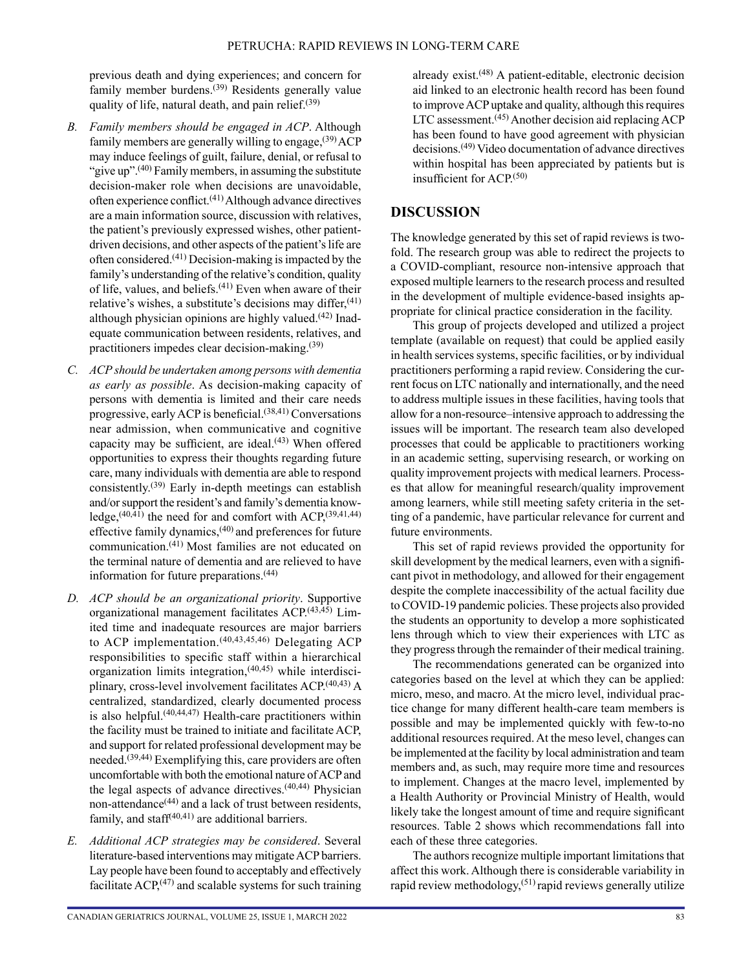previous death and dying experiences; and concern for family member burdens.<sup>(39)</sup> Residents generally value quality of life, natural death, and pain relief. $(39)$ 

- *B. Family members should be engaged in ACP*. Although family members are generally willing to engage,  $(39)$  ACP may induce feelings of guilt, failure, denial, or refusal to "give up".<sup>(40)</sup> Family members, in assuming the substitute decision-maker role when decisions are unavoidable, often experience conflict.(41) Although advance directives are a main information source, discussion with relatives, the patient's previously expressed wishes, other patientdriven decisions, and other aspects of the patient's life are often considered.(41) Decision-making is impacted by the family's understanding of the relative's condition, quality of life, values, and beliefs.(41) Even when aware of their relative's wishes, a substitute's decisions may differ,<sup>(41)</sup> although physician opinions are highly valued. $(42)$  Inadequate communication between residents, relatives, and practitioners impedes clear decision-making.(39)
- *C. ACP should be undertaken among persons with dementia as early as possible*. As decision-making capacity of persons with dementia is limited and their care needs progressive, early ACP is beneficial.(38,41) Conversations near admission, when communicative and cognitive capacity may be sufficient, are ideal. $(43)$  When offered opportunities to express their thoughts regarding future care, many individuals with dementia are able to respond consistently.(39) Early in-depth meetings can establish and/or support the resident's and family's dementia knowledge,<sup> $(40,41)$ </sup> the need for and comfort with ACP, $^{(39,41,44)}$ effective family dynamics,(40) and preferences for future communication.(41) Most families are not educated on the terminal nature of dementia and are relieved to have information for future preparations.(44)
- *D. ACP should be an organizational priority*. Supportive organizational management facilitates ACP.<sup>(43,45)</sup> Limited time and inadequate resources are major barriers to ACP implementation.<sup>(40,43,45,46)</sup> Delegating ACP responsibilities to specific staff within a hierarchical organization limits integration, $(40,45)$  while interdisciplinary, cross-level involvement facilitates ACP.(40,43) A centralized, standardized, clearly documented process is also helpful. $(40,44,47)$  Health-care practitioners within the facility must be trained to initiate and facilitate ACP, and support for related professional development may be needed.(39,44) Exemplifying this, care providers are often uncomfortable with both the emotional nature of ACP and the legal aspects of advance directives. $(40,44)$  Physician non-attendance<sup>(44)</sup> and a lack of trust between residents, family, and staff $(40,41)$  are additional barriers.
- *E. Additional ACP strategies may be considered*. Several literature-based interventions may mitigate ACP barriers. Lay people have been found to acceptably and effectively facilitate  $\text{ACP}$ <sup>(47)</sup> and scalable systems for such training

already exist.(48) A patient-editable, electronic decision aid linked to an electronic health record has been found to improve ACP uptake and quality, although this requires LTC assessment.<sup> $(45)$ </sup> Another decision aid replacing ACP has been found to have good agreement with physician decisions.(49) Video documentation of advance directives within hospital has been appreciated by patients but is insufficient for  $ACP<sup>(50)</sup>$ 

# **DISCUSSION**

The knowledge generated by this set of rapid reviews is twofold. The research group was able to redirect the projects to a COVID-compliant, resource non-intensive approach that exposed multiple learners to the research process and resulted in the development of multiple evidence-based insights appropriate for clinical practice consideration in the facility.

This group of projects developed and utilized a project template (available on request) that could be applied easily in health services systems, specific facilities, or by individual practitioners performing a rapid review. Considering the current focus on LTC nationally and internationally, and the need to address multiple issues in these facilities, having tools that allow for a non-resource–intensive approach to addressing the issues will be important. The research team also developed processes that could be applicable to practitioners working in an academic setting, supervising research, or working on quality improvement projects with medical learners. Processes that allow for meaningful research/quality improvement among learners, while still meeting safety criteria in the setting of a pandemic, have particular relevance for current and future environments.

This set of rapid reviews provided the opportunity for skill development by the medical learners, even with a significant pivot in methodology, and allowed for their engagement despite the complete inaccessibility of the actual facility due to COVID-19 pandemic policies. These projects also provided the students an opportunity to develop a more sophisticated lens through which to view their experiences with LTC as they progress through the remainder of their medical training.

The recommendations generated can be organized into categories based on the level at which they can be applied: micro, meso, and macro. At the micro level, individual practice change for many different health-care team members is possible and may be implemented quickly with few-to-no additional resources required. At the meso level, changes can be implemented at the facility by local administration and team members and, as such, may require more time and resources to implement. Changes at the macro level, implemented by a Health Authority or Provincial Ministry of Health, would likely take the longest amount of time and require significant resources. Table 2 shows which recommendations fall into each of these three categories.

The authors recognize multiple important limitations that affect this work. Although there is considerable variability in rapid review methodology,(51) rapid reviews generally utilize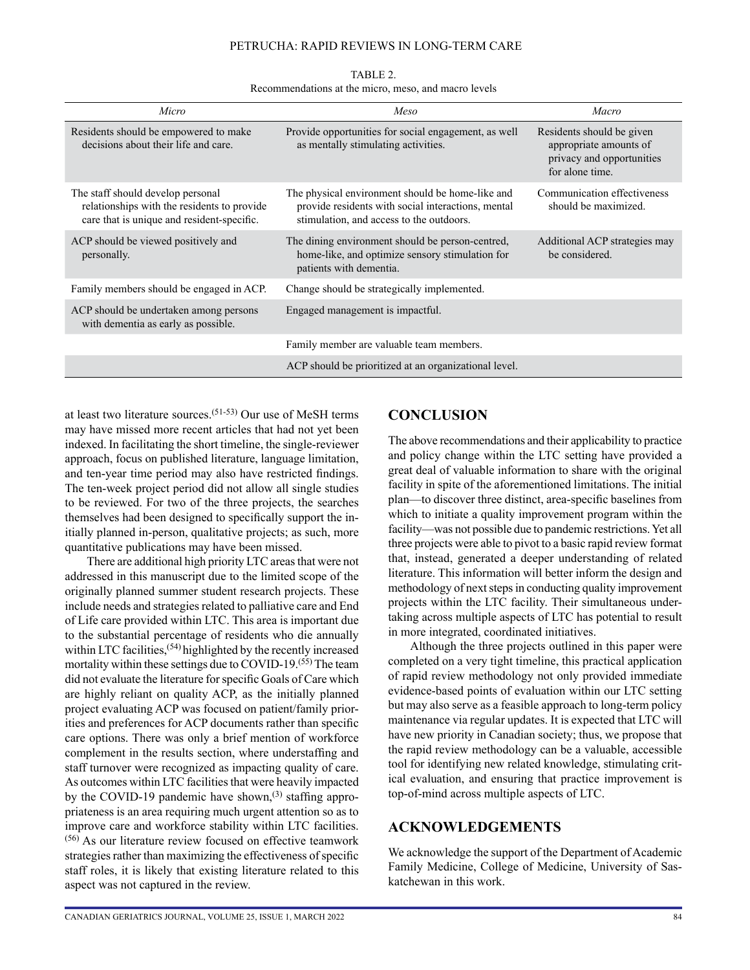#### PETRUCHA: RAPID REVIEWS IN LONG-TERM CARE

| TABLE 2.                                             |  |  |  |  |
|------------------------------------------------------|--|--|--|--|
| Recommendations at the micro, meso, and macro levels |  |  |  |  |

| Micro                                                                                                                          | Meso                                                                                                                                               | Macro                                                                                               |
|--------------------------------------------------------------------------------------------------------------------------------|----------------------------------------------------------------------------------------------------------------------------------------------------|-----------------------------------------------------------------------------------------------------|
| Residents should be empowered to make<br>decisions about their life and care.                                                  | Provide opportunities for social engagement, as well<br>as mentally stimulating activities.                                                        | Residents should be given<br>appropriate amounts of<br>privacy and opportunities<br>for alone time. |
| The staff should develop personal<br>relationships with the residents to provide<br>care that is unique and resident-specific. | The physical environment should be home-like and<br>provide residents with social interactions, mental<br>stimulation, and access to the outdoors. | Communication effectiveness<br>should be maximized.                                                 |
| ACP should be viewed positively and<br>personally.                                                                             | The dining environment should be person-centred,<br>home-like, and optimize sensory stimulation for<br>patients with dementia.                     | Additional ACP strategies may<br>be considered.                                                     |
| Family members should be engaged in ACP.                                                                                       | Change should be strategically implemented.                                                                                                        |                                                                                                     |
| ACP should be undertaken among persons<br>with dementia as early as possible.                                                  | Engaged management is impactful.                                                                                                                   |                                                                                                     |
|                                                                                                                                | Family member are valuable team members.                                                                                                           |                                                                                                     |
|                                                                                                                                | ACP should be prioritized at an organizational level.                                                                                              |                                                                                                     |

at least two literature sources.<sup> $(51-53)$ </sup> Our use of MeSH terms may have missed more recent articles that had not yet been indexed. In facilitating the short timeline, the single-reviewer approach, focus on published literature, language limitation, and ten-year time period may also have restricted findings. The ten-week project period did not allow all single studies to be reviewed. For two of the three projects, the searches themselves had been designed to specifically support the initially planned in-person, qualitative projects; as such, more quantitative publications may have been missed.

There are additional high priority LTC areas that were not addressed in this manuscript due to the limited scope of the originally planned summer student research projects. These include needs and strategies related to palliative care and End of Life care provided within LTC. This area is important due to the substantial percentage of residents who die annually within LTC facilities,<sup>(54)</sup> highlighted by the recently increased mortality within these settings due to COVID-19.<sup>(55)</sup> The team did not evaluate the literature for specific Goals of Care which are highly reliant on quality ACP, as the initially planned project evaluating ACP was focused on patient/family priorities and preferences for ACP documents rather than specific care options. There was only a brief mention of workforce complement in the results section, where understaffing and staff turnover were recognized as impacting quality of care. As outcomes within LTC facilities that were heavily impacted by the COVID-19 pandemic have shown, $^{(3)}$  staffing appropriateness is an area requiring much urgent attention so as to improve care and workforce stability within LTC facilities. (56) As our literature review focused on effective teamwork strategies rather than maximizing the effectiveness of specific staff roles, it is likely that existing literature related to this aspect was not captured in the review.

## **CONCLUSION**

The above recommendations and their applicability to practice and policy change within the LTC setting have provided a great deal of valuable information to share with the original facility in spite of the aforementioned limitations. The initial plan—to discover three distinct, area-specific baselines from which to initiate a quality improvement program within the facility—was not possible due to pandemic restrictions. Yet all three projects were able to pivot to a basic rapid review format that, instead, generated a deeper understanding of related literature. This information will better inform the design and methodology of next steps in conducting quality improvement projects within the LTC facility. Their simultaneous undertaking across multiple aspects of LTC has potential to result in more integrated, coordinated initiatives.

Although the three projects outlined in this paper were completed on a very tight timeline, this practical application of rapid review methodology not only provided immediate evidence-based points of evaluation within our LTC setting but may also serve as a feasible approach to long-term policy maintenance via regular updates. It is expected that LTC will have new priority in Canadian society; thus, we propose that the rapid review methodology can be a valuable, accessible tool for identifying new related knowledge, stimulating critical evaluation, and ensuring that practice improvement is top-of-mind across multiple aspects of LTC.

# **ACKNOWLEDGEMENTS**

We acknowledge the support of the Department of Academic Family Medicine, College of Medicine, University of Saskatchewan in this work.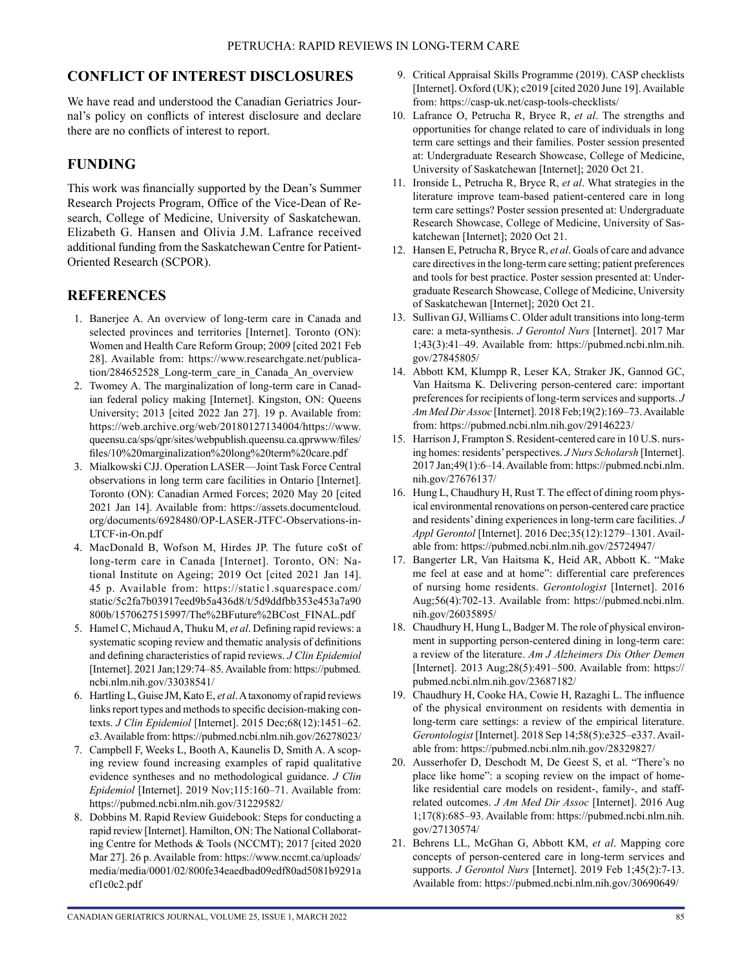# **CONFLICT OF INTEREST DISCLOSURES**

We have read and understood the Canadian Geriatrics Journal's policy on conflicts of interest disclosure and declare there are no conflicts of interest to report.

# **FUNDING**

This work was financially supported by the Dean's Summer Research Projects Program, Office of the Vice-Dean of Research, College of Medicine, University of Saskatchewan. Elizabeth G. Hansen and Olivia J.M. Lafrance received additional funding from the Saskatchewan Centre for Patient-Oriented Research (SCPOR).

# **REFERENCES**

- 1. Banerjee A. An overview of long-term care in Canada and selected provinces and territories [Internet]. Toronto (ON): Women and Health Care Reform Group; 2009 [cited 2021 Feb 28]. Available from: [https://www.researchgate.net/publica](https://www.researchgate.net/publication/284652528_Long-term_care_in_Canada_An_overview)[tion/284652528\\_Long-term\\_care\\_in\\_Canada\\_An\\_overview](https://www.researchgate.net/publication/284652528_Long-term_care_in_Canada_An_overview)
- 2. Twomey A. The marginalization of long-term care in Canadian federal policy making [Internet]. Kingston, ON: Queens University; 2013 [cited 2022 Jan 27]. 19 p. Available from: [https://web.archive.org/web/20180127134004/https://www.](https://web.archive.org/web/20180127134004/https:/www.queensu.ca/sps/qpr/sites/webpublish.queensu.ca.qprwww/files/files/10 marginalization long term care.pdf) [queensu.ca/sps/qpr/sites/webpublish.queensu.ca.qprwww/files/](https://web.archive.org/web/20180127134004/https:/www.queensu.ca/sps/qpr/sites/webpublish.queensu.ca.qprwww/files/files/10 marginalization long term care.pdf) [files/10%20marginalization%20long%20term%20care.pdf](https://web.archive.org/web/20180127134004/https:/www.queensu.ca/sps/qpr/sites/webpublish.queensu.ca.qprwww/files/files/10 marginalization long term care.pdf)
- 3. Mialkowski CJJ. Operation LASER—Joint Task Force Central observations in long term care facilities in Ontario [Internet]. Toronto (ON): Canadian Armed Forces; 2020 May 20 [cited 2021 Jan 14]. Available from: [https://assets.documentcloud.](https://assets.documentcloud.org/documents/6928480/OP-LASER-JTFC-Observations-in-LTCF-in-On.pdf) [org/documents/6928480/OP-LASER-JTFC-Observations-in-](https://assets.documentcloud.org/documents/6928480/OP-LASER-JTFC-Observations-in-LTCF-in-On.pdf)[LTCF-in-On.pdf](https://assets.documentcloud.org/documents/6928480/OP-LASER-JTFC-Observations-in-LTCF-in-On.pdf)
- 4. MacDonald B, Wofson M, Hirdes JP. The future co\$t of long-term care in Canada [Internet]. Toronto, ON: National Institute on Ageing; 2019 Oct [cited 2021 Jan 14]. 45 p. Available from: [https://static1.squarespace.com/](https://static1.squarespace.com/static/5c2fa7b03917eed9b5a436d8/t/5d9ddfbb353e453a7a90800b/1570627515997/The%2BFuture%2BCost_FINAL.pdf) [static/5c2fa7b03917eed9b5a436d8/t/5d9ddfbb353e453a7a90](https://static1.squarespace.com/static/5c2fa7b03917eed9b5a436d8/t/5d9ddfbb353e453a7a90800b/1570627515997/The%2BFuture%2BCost_FINAL.pdf) [800b/1570627515997/The%2BFuture%2BCost\\_FINAL.pdf](https://static1.squarespace.com/static/5c2fa7b03917eed9b5a436d8/t/5d9ddfbb353e453a7a90800b/1570627515997/The%2BFuture%2BCost_FINAL.pdf)
- 5. Hamel C, Michaud A, Thuku M, *et al*. Defining rapid reviews: a systematic scoping review and thematic analysis of definitions and defining characteristics of rapid reviews. *J Clin Epidemiol*  [Internet]. 2021 Jan;129:74–85. Available from: [https://pubmed.](https://pubmed.ncbi.nlm.nih.gov/33038541/) [ncbi.nlm.nih.gov/33038541/](https://pubmed.ncbi.nlm.nih.gov/33038541/)
- 6. Hartling L, Guise JM, Kato E, *et al*. A taxonomy of rapid reviews links report types and methods to specific decision-making contexts. *J Clin Epidemiol* [Internet]. 2015 Dec;68(12):1451–62. e3. Available from:<https://pubmed.ncbi.nlm.nih.gov/26278023/>
- 7. Campbell F, Weeks L, Booth A, Kaunelis D, Smith A. A scoping review found increasing examples of rapid qualitative evidence syntheses and no methodological guidance. *J Clin Epidemiol* [Internet]. 2019 Nov;115:160–71. Available from: <https://pubmed.ncbi.nlm.nih.gov/31229582/>
- 8. Dobbins M. Rapid Review Guidebook: Steps for conducting a rapid review [Internet]. Hamilton, ON: The National Collaborating Centre for Methods & Tools (NCCMT); 2017 [cited 2020 Mar 27]. 26 p. Available from: [https://www.nccmt.ca/uploads/](https://www.nccmt.ca/uploads/media/media/0001/02/800fe34eaedbad09edf80ad5081b9291acf1c0c2.pdf) [media/media/0001/02/800fe34eaedbad09edf80ad5081b9291a](https://www.nccmt.ca/uploads/media/media/0001/02/800fe34eaedbad09edf80ad5081b9291acf1c0c2.pdf) [cf1c0c2.pdf](https://www.nccmt.ca/uploads/media/media/0001/02/800fe34eaedbad09edf80ad5081b9291acf1c0c2.pdf)
- 9. Critical Appraisal Skills Programme (2019). CASP checklists [Internet]. Oxford (UK); c2019 [cited 2020 June 19]. Available from:<https://casp-uk.net/casp-tools-checklists/>
- 10. Lafrance O, Petrucha R, Bryce R, *et al*. The strengths and opportunities for change related to care of individuals in long term care settings and their families. Poster session presented at: Undergraduate Research Showcase, College of Medicine, University of Saskatchewan [Internet]; 2020 Oct 21.
- 11. Ironside L, Petrucha R, Bryce R, *et al*. What strategies in the literature improve team-based patient-centered care in long term care settings? Poster session presented at: Undergraduate Research Showcase, College of Medicine, University of Saskatchewan [Internet]; 2020 Oct 21.
- 12. Hansen E, Petrucha R, Bryce R, *et al*. Goals of care and advance care directives in the long-term care setting; patient preferences and tools for best practice. Poster session presented at: Undergraduate Research Showcase, College of Medicine, University of Saskatchewan [Internet]; 2020 Oct 21.
- 13. Sullivan GJ, Williams C. Older adult transitions into long-term care: a meta-synthesis. *J Gerontol Nurs* [Internet]. 2017 Mar 1;43(3):41–49. Available from: [https://pubmed.ncbi.nlm.nih.](https://pubmed.ncbi.nlm.nih.gov/27845805/) [gov/27845805/](https://pubmed.ncbi.nlm.nih.gov/27845805/)
- 14. Abbott KM, Klumpp R, Leser KA, Straker JK, Gannod GC, Van Haitsma K. Delivering person-centered care: important preferences for recipients of long-term services and supports. *J Am Med Dir Assoc* [Internet]. 2018 Feb;19(2):169–73. Available from:<https://pubmed.ncbi.nlm.nih.gov/29146223/>
- 15. Harrison J, Frampton S. Resident-centered care in 10 U.S. nursing homes: residents' perspectives. *J Nurs Scholarsh* [Internet]. 2017 Jan;49(1):6–14. Available from: [https://pubmed.ncbi.nlm.](https://pubmed.ncbi.nlm.nih.gov/27676137/) [nih.gov/27676137/](https://pubmed.ncbi.nlm.nih.gov/27676137/)
- 16. Hung L, Chaudhury H, Rust T. The effect of dining room physical environmental renovations on person-centered care practice and residents' dining experiences in long-term care facilities. *J Appl Gerontol* [Internet]. 2016 Dec;35(12):1279–1301. Available from:<https://pubmed.ncbi.nlm.nih.gov/25724947/>
- 17. Bangerter LR, Van Haitsma K, Heid AR, Abbott K. "Make me feel at ease and at home": differential care preferences of nursing home residents. *Gerontologist* [Internet]. 2016 Aug;56(4):702-13. Available from: [https://pubmed.ncbi.nlm.](https://pubmed.ncbi.nlm.nih.gov/26035895/) [nih.gov/26035895/](https://pubmed.ncbi.nlm.nih.gov/26035895/)
- 18. Chaudhury H, Hung L, Badger M. The role of physical environment in supporting person-centered dining in long-term care: a review of the literature. *Am J Alzheimers Dis Other Demen* [Internet]. 2013 Aug;28(5):491–500. Available from: [https://](https://pubmed.ncbi.nlm.nih.gov/23687182/) [pubmed.ncbi.nlm.nih.gov/23687182/](https://pubmed.ncbi.nlm.nih.gov/23687182/)
- 19. Chaudhury H, Cooke HA, Cowie H, Razaghi L. The influence of the physical environment on residents with dementia in long-term care settings: a review of the empirical literature. *Gerontologist* [Internet]. 2018 Sep 14;58(5):e325–e337. Available from:<https://pubmed.ncbi.nlm.nih.gov/28329827/>
- 20. Ausserhofer D, Deschodt M, De Geest S, et al. "There's no place like home": a scoping review on the impact of homelike residential care models on resident-, family-, and staffrelated outcomes. *J Am Med Dir Assoc* [Internet]. 2016 Aug 1;17(8):685–93. Available from: [https://pubmed.ncbi.nlm.nih.](https://pubmed.ncbi.nlm.nih.gov/27130574/) [gov/27130574/](https://pubmed.ncbi.nlm.nih.gov/27130574/)
- 21. Behrens LL, McGhan G, Abbott KM, *et al*. Mapping core concepts of person-centered care in long-term services and supports. *J Gerontol Nurs* [Internet]. 2019 Feb 1;45(2):7-13. Available from: <https://pubmed.ncbi.nlm.nih.gov/30690649/>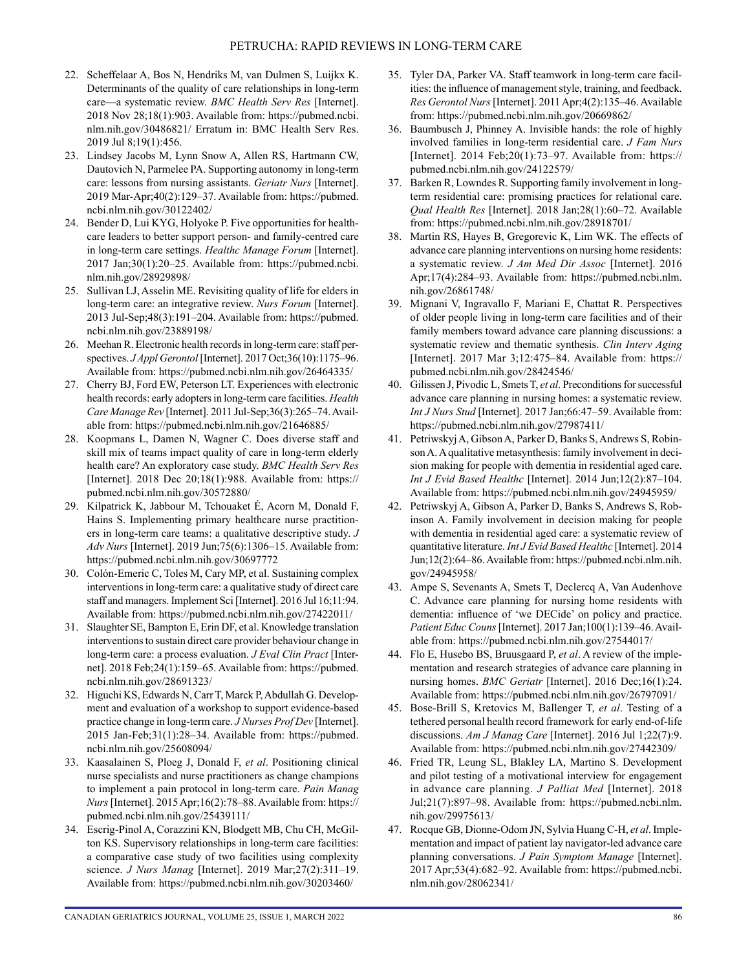- 22. Scheffelaar A, Bos N, Hendriks M, van Dulmen S, Luijkx K. Determinants of the quality of care relationships in long-term care—a systematic review. *BMC Health Serv Res* [Internet]. 2018 Nov 28;18(1):903. Available from: [https://pubmed.ncbi.](https://pubmed.ncbi.nlm.nih.gov/30486821/) [nlm.nih.gov/30486821/](https://pubmed.ncbi.nlm.nih.gov/30486821/) Erratum in: BMC Health Serv Res. 2019 Jul 8;19(1):456.
- 23. Lindsey Jacobs M, Lynn Snow A, Allen RS, Hartmann CW, Dautovich N, Parmelee PA. Supporting autonomy in long-term care: lessons from nursing assistants. *Geriatr Nurs* [Internet]. 2019 Mar-Apr;40(2):129–37. Available from: [https://pubmed.](https://pubmed.ncbi.nlm.nih.gov/30122402/) [ncbi.nlm.nih.gov/30122402/](https://pubmed.ncbi.nlm.nih.gov/30122402/)
- 24. Bender D, Lui KYG, Holyoke P. Five opportunities for healthcare leaders to better support person- and family-centred care in long-term care settings. *Healthc Manage Forum* [Internet]. 2017 Jan;30(1):20–25. Available from: [https://pubmed.ncbi.](https://pubmed.ncbi.nlm.nih.gov/28929898/) [nlm.nih.gov/28929898/](https://pubmed.ncbi.nlm.nih.gov/28929898/)
- 25. Sullivan LJ, Asselin ME. Revisiting quality of life for elders in long-term care: an integrative review. *Nurs Forum* [Internet]. 2013 Jul-Sep;48(3):191–204. Available from: [https://pubmed.](https://pubmed.ncbi.nlm.nih.gov/23889198/) [ncbi.nlm.nih.gov/23889198/](https://pubmed.ncbi.nlm.nih.gov/23889198/)
- 26. Meehan R. Electronic health records in long-term care: staff perspectives. *J Appl Gerontol* [Internet]. 2017 Oct;36(10):1175–96. Available from: <https://pubmed.ncbi.nlm.nih.gov/26464335/>
- 27. Cherry BJ, Ford EW, Peterson LT. Experiences with electronic health records: early adopters in long-term care facilities. *Health Care Manage Rev* [Internet]. 2011 Jul-Sep;36(3):265–74. Available from:<https://pubmed.ncbi.nlm.nih.gov/21646885/>
- 28. Koopmans L, Damen N, Wagner C. Does diverse staff and skill mix of teams impact quality of care in long-term elderly health care? An exploratory case study. *BMC Health Serv Res* [Internet]. 2018 Dec 20;18(1):988. Available from: [https://](https://pubmed.ncbi.nlm.nih.gov/30572880/) [pubmed.ncbi.nlm.nih.gov/30572880/](https://pubmed.ncbi.nlm.nih.gov/30572880/)
- 29. Kilpatrick K, Jabbour M, Tchouaket É, Acorn M, Donald F, Hains S. Implementing primary healthcare nurse practitioners in long-term care teams: a qualitative descriptive study. *J Adv Nurs* [Internet]. 2019 Jun;75(6):1306–15. Available from: <https://pubmed.ncbi.nlm.nih.gov/30697772>
- 30. Colón-Emeric C, Toles M, Cary MP, et al. Sustaining complex interventions in long-term care: a qualitative study of direct care staff and managers. Implement Sci [Internet]. 2016 Jul 16;11:94. Available from: <https://pubmed.ncbi.nlm.nih.gov/27422011/>
- 31. Slaughter SE, Bampton E, Erin DF, et al. Knowledge translation interventions to sustain direct care provider behaviour change in long-term care: a process evaluation. *J Eval Clin Pract* [Internet]. 2018 Feb;24(1):159–65. Available from: [https://pubmed.](https://pubmed.ncbi.nlm.nih.gov/28691323/) [ncbi.nlm.nih.gov/28691323/](https://pubmed.ncbi.nlm.nih.gov/28691323/)
- 32. Higuchi KS, Edwards N, Carr T, Marck P, Abdullah G. Development and evaluation of a workshop to support evidence-based practice change in long-term care. *J Nurses Prof Dev* [Internet]. 2015 Jan-Feb;31(1):28–34. Available from: [https://pubmed.](https://pubmed.ncbi.nlm.nih.gov/25608094/) [ncbi.nlm.nih.gov/25608094/](https://pubmed.ncbi.nlm.nih.gov/25608094/)
- 33. Kaasalainen S, Ploeg J, Donald F, *et al*. Positioning clinical nurse specialists and nurse practitioners as change champions to implement a pain protocol in long-term care. *Pain Manag Nurs* [Internet]. 2015 Apr;16(2):78–88. Available from: [https://](https://pubmed.ncbi.nlm.nih.gov/25439111/) [pubmed.ncbi.nlm.nih.gov/25439111/](https://pubmed.ncbi.nlm.nih.gov/25439111/)
- 34. Escrig-Pinol A, Corazzini KN, Blodgett MB, Chu CH, McGilton KS. Supervisory relationships in long-term care facilities: a comparative case study of two facilities using complexity science. *J Nurs Manag* [Internet]. 2019 Mar;27(2):311–19. Available from: <https://pubmed.ncbi.nlm.nih.gov/30203460/>
- 35. Tyler DA, Parker VA. Staff teamwork in long-term care facilities: the influence of management style, training, and feedback. *Res Gerontol Nurs* [Internet]. 2011 Apr;4(2):135–46. Available from:<https://pubmed.ncbi.nlm.nih.gov/20669862/>
- 36. Baumbusch J, Phinney A. Invisible hands: the role of highly involved families in long-term residential care. *J Fam Nurs* [Internet]. 2014 Feb;20(1):73–97. Available from: [https://](https://pubmed.ncbi.nlm.nih.gov/24122579/) [pubmed.ncbi.nlm.nih.gov/24122579/](https://pubmed.ncbi.nlm.nih.gov/24122579/)
- 37. Barken R, Lowndes R. Supporting family involvement in longterm residential care: promising practices for relational care. *Qual Health Res* [Internet]. 2018 Jan;28(1):60–72. Available from:<https://pubmed.ncbi.nlm.nih.gov/28918701/>
- 38. Martin RS, Hayes B, Gregorevic K, Lim WK. The effects of advance care planning interventions on nursing home residents: a systematic review. *J Am Med Dir Assoc* [Internet]. 2016 Apr;17(4):284–93. Available from: [https://pubmed.ncbi.nlm.](https://pubmed.ncbi.nlm.nih.gov/26861748/) [nih.gov/26861748/](https://pubmed.ncbi.nlm.nih.gov/26861748/)
- 39. Mignani V, Ingravallo F, Mariani E, Chattat R. Perspectives of older people living in long-term care facilities and of their family members toward advance care planning discussions: a systematic review and thematic synthesis. *Clin Interv Aging* [Internet]. 2017 Mar 3;12:475–84. Available from: [https://](https://pubmed.ncbi.nlm.nih.gov/28424546/) [pubmed.ncbi.nlm.nih.gov/28424546/](https://pubmed.ncbi.nlm.nih.gov/28424546/)
- 40. Gilissen J, Pivodic L, Smets T, *et al*. Preconditions for successful advance care planning in nursing homes: a systematic review. *Int J Nurs Stud* [Internet]. 2017 Jan;66:47–59. Available from: <https://pubmed.ncbi.nlm.nih.gov/27987411/>
- 41. Petriwskyj A, Gibson A, Parker D, Banks S, Andrews S, Robinson A. A qualitative metasynthesis: family involvement in decision making for people with dementia in residential aged care. *Int J Evid Based Healthc* [Internet]. 2014 Jun;12(2):87–104. Available from: <https://pubmed.ncbi.nlm.nih.gov/24945959/>
- 42. Petriwskyj A, Gibson A, Parker D, Banks S, Andrews S, Robinson A. Family involvement in decision making for people with dementia in residential aged care: a systematic review of quantitative literature. *Int J Evid Based Healthc* [Internet]. 2014 Jun;12(2):64–86. Available from: [https://pubmed.ncbi.nlm.nih.](https://pubmed.ncbi.nlm.nih.gov/24945958/) [gov/24945958/](https://pubmed.ncbi.nlm.nih.gov/24945958/)
- 43. Ampe S, Sevenants A, Smets T, Declercq A, Van Audenhove C. Advance care planning for nursing home residents with dementia: influence of 'we DECide' on policy and practice. *Patient Educ Couns* [Internet]. 2017 Jan;100(1):139–46. Available from:<https://pubmed.ncbi.nlm.nih.gov/27544017/>
- 44. Flo E, Husebo BS, Bruusgaard P, *et al*. A review of the implementation and research strategies of advance care planning in nursing homes. *BMC Geriatr* [Internet]. 2016 Dec;16(1):24. Available from: <https://pubmed.ncbi.nlm.nih.gov/26797091/>
- 45. Bose-Brill S, Kretovics M, Ballenger T, *et al*. Testing of a tethered personal health record framework for early end-of-life discussions. *Am J Manag Care* [Internet]. 2016 Jul 1;22(7):9. Available from: <https://pubmed.ncbi.nlm.nih.gov/27442309/>
- 46. Fried TR, Leung SL, Blakley LA, Martino S. Development and pilot testing of a motivational interview for engagement in advance care planning. *J Palliat Med* [Internet]. 2018 Jul;21(7):897–98. Available from: [https://pubmed.ncbi.nlm.](https://pubmed.ncbi.nlm.nih.gov/29975613/) [nih.gov/29975613/](https://pubmed.ncbi.nlm.nih.gov/29975613/)
- 47. Rocque GB, Dionne-Odom JN, Sylvia Huang C-H, *et al*. Implementation and impact of patient lay navigator-led advance care planning conversations. *J Pain Symptom Manage* [Internet]. 2017 Apr;53(4):682–92. Available from: [https://pubmed.ncbi.](https://pubmed.ncbi.nlm.nih.gov/28062341/) [nlm.nih.gov/28062341/](https://pubmed.ncbi.nlm.nih.gov/28062341/)